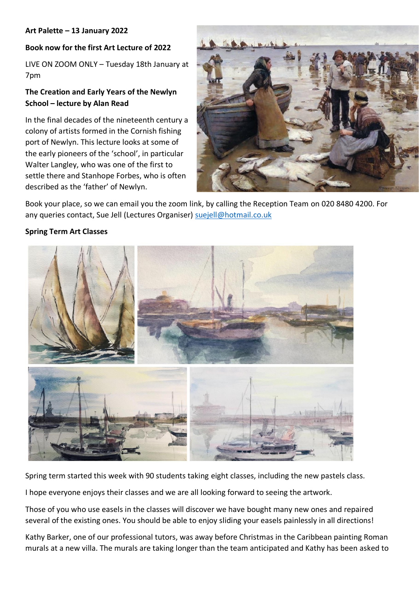#### **Art Palette – 13 January 2022**

### **Book now for the first Art Lecture of 2022**

LIVE ON ZOOM ONLY – Tuesday 18th January at 7pm

# **The Creation and Early Years of the Newlyn School – lecture by Alan Read**

In the final decades of the nineteenth century a colony of artists formed in the Cornish fishing port of Newlyn. This lecture looks at some of the early pioneers of the 'school', in particular Walter Langley, who was one of the first to settle there and Stanhope Forbes, who is often described as the 'father' of Newlyn.



Book your place, so we can email you the zoom link, by calling the Reception Team on 020 8480 4200. For any queries contact, Sue Jell (Lectures Organiser) [suejell@hotmail.co.uk](mailto:suejell@hotmail.co.uk)

#### **Spring Term Art Classes**



Spring term started this week with 90 students taking eight classes, including the new pastels class.

I hope everyone enjoys their classes and we are all looking forward to seeing the artwork.

Those of you who use easels in the classes will discover we have bought many new ones and repaired several of the existing ones. You should be able to enjoy sliding your easels painlessly in all directions!

Kathy Barker, one of our professional tutors, was away before Christmas in the Caribbean painting Roman murals at a new villa. The murals are taking longer than the team anticipated and Kathy has been asked to